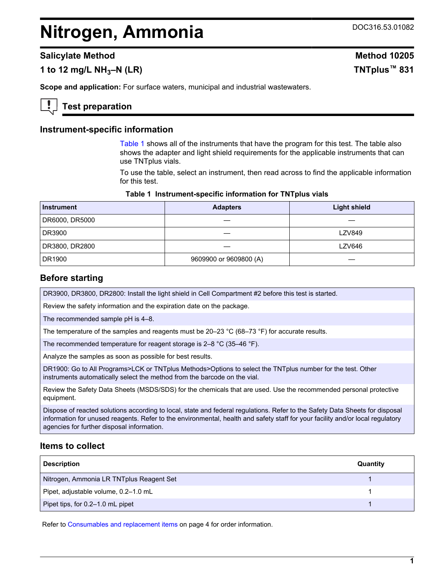# <span id="page-0-0"></span>**Nitrogen, Ammonia** DOC316.53.01082

## **Salicylate Method Method Method Method** 10205

# **1 to 12 mg/L NH3–N (LR) TNTplus™ 831**

**Scope and application:** For surface waters, municipal and industrial wastewaters.

# **Test preparation**

#### **Instrument-specific information**

Table 1 shows all of the instruments that have the program for this test. The table also shows the adapter and light shield requirements for the applicable instruments that can use TNTplus vials.

To use the table, select an instrument, then read across to find the applicable information for this test.

| Table 1 Instrument-specific information for TNTplus vials |  |  |  |  |  |
|-----------------------------------------------------------|--|--|--|--|--|
|-----------------------------------------------------------|--|--|--|--|--|

| <b>Instrument</b> | <b>Adapters</b>        | <b>Light shield</b> |
|-------------------|------------------------|---------------------|
| DR6000, DR5000    |                        |                     |
| DR3900            |                        | <b>LZV849</b>       |
| DR3800, DR2800    |                        | <b>LZV646</b>       |
| DR1900            | 9609900 or 9609800 (A) |                     |

#### **Before starting**

DR3900, DR3800, DR2800: Install the light shield in Cell Compartment #2 before this test is started.

Review the safety information and the expiration date on the package.

The recommended sample pH is 4–8.

The temperature of the samples and reagents must be  $20-23$  °C (68–73 °F) for accurate results.

The recommended temperature for reagent storage is 2–8 °C (35–46 °F).

Analyze the samples as soon as possible for best results.

DR1900: Go to All Programs>LCK or TNTplus Methods>Options to select the TNTplus number for the test. Other instruments automatically select the method from the barcode on the vial.

Review the Safety Data Sheets (MSDS/SDS) for the chemicals that are used. Use the recommended personal protective equipment.

Dispose of reacted solutions according to local, state and federal regulations. Refer to the Safety Data Sheets for disposal information for unused reagents. Refer to the environmental, health and safety staff for your facility and/or local regulatory agencies for further disposal information.

#### **Items to collect**

| <b>Description</b>                       | Quantity |
|------------------------------------------|----------|
| Nitrogen, Ammonia LR TNTplus Reagent Set |          |
| Pipet, adjustable volume, 0.2-1.0 mL     |          |
| Pipet tips, for 0.2–1.0 mL pipet         |          |

Refer to [Consumables and replacement items](#page-3-0) on page 4 for order information.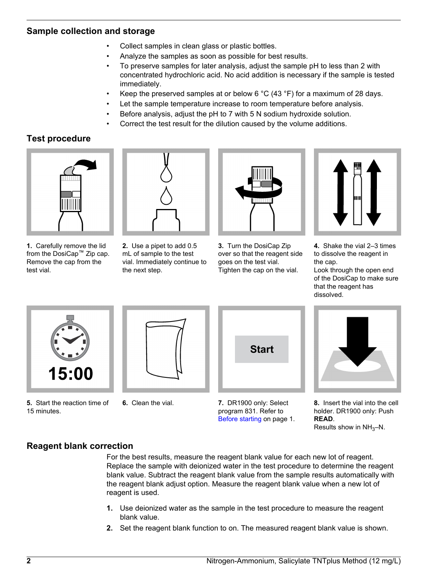# **Sample collection and storage**

- Collect samples in clean glass or plastic bottles.
- Analyze the samples as soon as possible for best results.
- To preserve samples for later analysis, adjust the sample pH to less than 2 with concentrated hydrochloric acid. No acid addition is necessary if the sample is tested immediately.
- Keep the preserved samples at or below 6  $^{\circ}$ C (43  $^{\circ}$ F) for a maximum of 28 days.
- Let the sample temperature increase to room temperature before analysis.
- Before analysis, adjust the pH to 7 with 5 N sodium hydroxide solution.
- Correct the test result for the dilution caused by the volume additions.

# **Test procedure**



**1.** Carefully remove the lid from the DosiCap™ Zip cap. Remove the cap from the test vial.



**2.** Use a pipet to add 0.5 mL of sample to the test vial. Immediately continue to the next step.



**3.** Turn the DosiCap Zip over so that the reagent side goes on the test vial. Tighten the cap on the vial.



**4.** Shake the vial 2–3 times to dissolve the reagent in the cap.

Look through the open end of the DosiCap to make sure that the reagent has dissolved.



**5.** Start the reaction time of 15 minutes.



**6.** Clean the vial.



**7.** DR1900 only: Select program 831. Refer to [Before starting](#page-0-0) on page 1.



**8.** Insert the vial into the cell holder. DR1900 only: Push **READ**. Results show in  $NH<sub>3</sub>-N$ .

# **Reagent blank correction**

For the best results, measure the reagent blank value for each new lot of reagent. Replace the sample with deionized water in the test procedure to determine the reagent blank value. Subtract the reagent blank value from the sample results automatically with the reagent blank adjust option. Measure the reagent blank value when a new lot of reagent is used.

- **1.** Use deionized water as the sample in the test procedure to measure the reagent blank value.
- **2.** Set the reagent blank function to on. The measured reagent blank value is shown.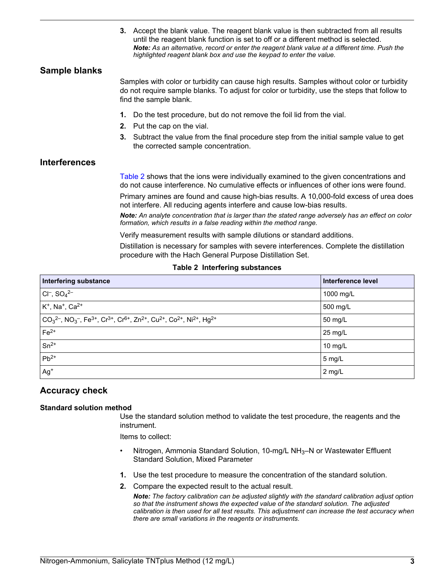**3.** Accept the blank value. The reagent blank value is then subtracted from all results until the reagent blank function is set to off or a different method is selected. *Note: As an alternative, record or enter the reagent blank value at a different time. Push the highlighted reagent blank box and use the keypad to enter the value.*

# **Sample blanks**

Samples with color or turbidity can cause high results. Samples without color or turbidity do not require sample blanks. To adjust for color or turbidity, use the steps that follow to find the sample blank.

- **1.** Do the test procedure, but do not remove the foil lid from the vial.
- **2.** Put the cap on the vial.
- **3.** Subtract the value from the final procedure step from the initial sample value to get the corrected sample concentration.

## **Interferences**

Table 2 shows that the ions were individually examined to the given concentrations and do not cause interference. No cumulative effects or influences of other ions were found.

Primary amines are found and cause high-bias results. A 10,000-fold excess of urea does not interfere. All reducing agents interfere and cause low-bias results.

*Note: An analyte concentration that is larger than the stated range adversely has an effect on color formation, which results in a false reading within the method range.*

Verify measurement results with sample dilutions or standard additions.

Distillation is necessary for samples with severe interferences. Complete the distillation procedure with the Hach General Purpose Distillation Set.

#### **Table 2 Interfering substances**

| Interfering substance                                                                                                                                                                                                        | Interference level |
|------------------------------------------------------------------------------------------------------------------------------------------------------------------------------------------------------------------------------|--------------------|
| $ Cl^-$ , $SO_4^{2-}$                                                                                                                                                                                                        | 1000 mg/L          |
| $K^+$ , Na <sup>+</sup> , Ca <sup>2+</sup>                                                                                                                                                                                   | 500 mg/L           |
| $\vert$ CO <sub>3</sub> <sup>2-</sup> , NO <sub>3</sub> <sup>-</sup> , Fe <sup>3+</sup> , Cr <sup>3+</sup> , Cr <sup>6+</sup> , Zn <sup>2+</sup> , Cu <sup>2+</sup> , Co <sup>2+</sup> , Ni <sup>2+</sup> , Hg <sup>2+</sup> | 50 mg/L            |
| $Fe2+$                                                                                                                                                                                                                       | $25 \text{ mg/L}$  |
| $Sn^{2+}$                                                                                                                                                                                                                    | 10 $mg/L$          |
| $Pb^{2+}$                                                                                                                                                                                                                    | 5 mg/L             |
| $Ag+$                                                                                                                                                                                                                        | 2 mg/L             |

## **Accuracy check**

#### **Standard solution method**

Use the standard solution method to validate the test procedure, the reagents and the instrument.

Items to collect:

- Nitrogen, Ammonia Standard Solution, 10-mg/L NH $_3$ –N or Wastewater Effluent Standard Solution, Mixed Parameter
- **1.** Use the test procedure to measure the concentration of the standard solution.
- **2.** Compare the expected result to the actual result.

*Note: The factory calibration can be adjusted slightly with the standard calibration adjust option so that the instrument shows the expected value of the standard solution. The adjusted calibration is then used for all test results. This adjustment can increase the test accuracy when there are small variations in the reagents or instruments.*